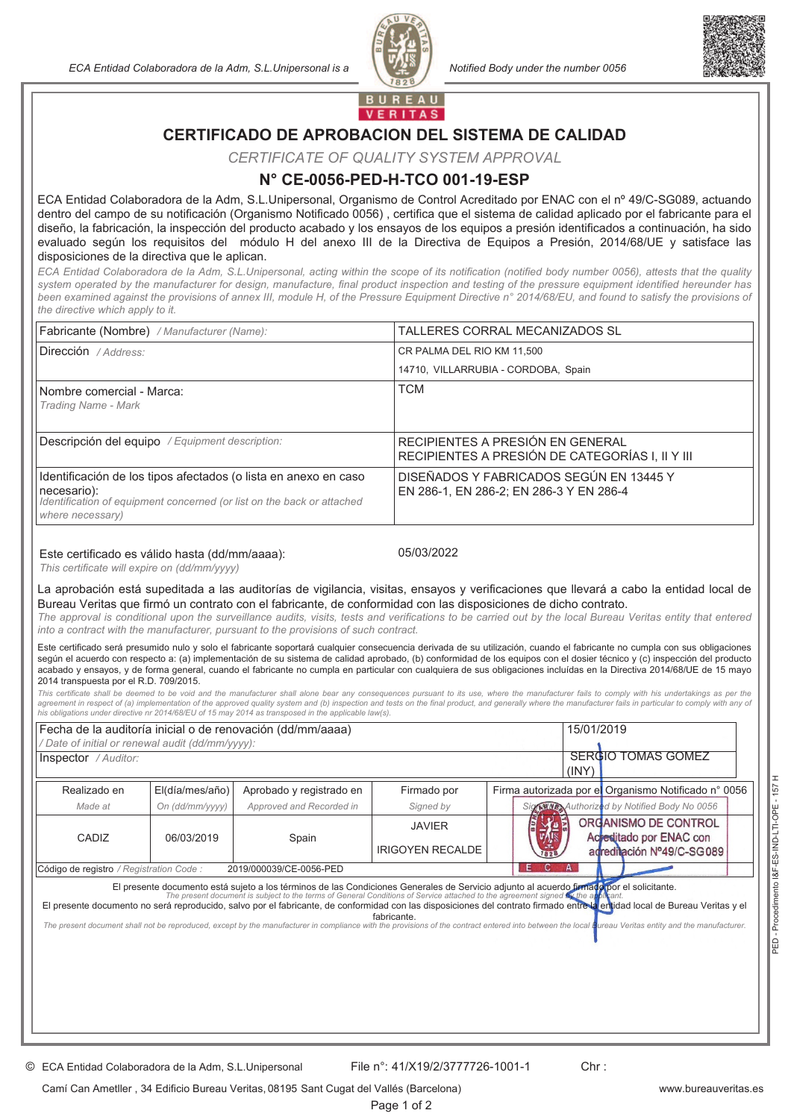*ECA Entidad Colaboradora de la Adm, S.L.Unipersonal is a Notified Body under the number 0056*





**BUREAU VERITAS** 

# **CERTIFICADO DE APROBACION DEL SISTEMA DE CALIDAD**

*CERTIFICATE OF QUALITY SYSTEM APPROVAL*

### **N° CE-0056-PED-H-TCO 001-19-ESP**

ECA Entidad Colaboradora de la Adm, S.L.Unipersonal, Organismo de Control Acreditado por ENAC con el nº 49/C-SG089, actuando dentro del campo de su notificación (Organismo Notificado 0056) , certifica que el sistema de calidad aplicado por el fabricante para el diseño, la fabricación, la inspección del producto acabado y los ensayos de los equipos a presión identificados a continuación, ha sido evaluado según los requisitos del módulo H del anexo III de la Directiva de Equipos a Presión, 2014/68/UE y satisface las disposiciones de la directiva que le aplican.

ECA Entidad Colaboradora de la Adm, S.L.Unipersonal, acting within the scope of its notification (notified body number 0056), attests that the quality system operated by the manufacturer for design, manufacture, final product inspection and testing of the pressure equipment identified hereunder has been examined against the provisions of annex III, module H, of the Pressure Equipment Directive n° 2014/68/EU, and found to satisfy the provisions of *the directive which apply to it.*

| Fabricante (Nombre) / Manufacturer (Name):                                                                                                                                   | TALLERES CORRAL MECANIZADOS SL                                                      |
|------------------------------------------------------------------------------------------------------------------------------------------------------------------------------|-------------------------------------------------------------------------------------|
| Dirección / Address:                                                                                                                                                         | CR PALMA DEL RIO KM 11,500                                                          |
|                                                                                                                                                                              | 14710, VILLARRUBIA - CORDOBA, Spain                                                 |
| Nombre comercial - Marca:<br>Trading Name - Mark                                                                                                                             | <b>TCM</b>                                                                          |
| Descripción del equipo / Equipment description:                                                                                                                              | RECIPIENTES A PRESIÓN EN GENERAL<br>RECIPIENTES A PRESIÓN DE CATEGORÍAS I, II Y III |
| Identificación de los tipos afectados (o lista en anexo en caso<br>necesario):<br>Identification of equipment concerned (or list on the back or attached<br>where necessary) | DISEÑADOS Y FABRICADOS SEGÚN EN 13445 Y<br>EN 286-1, EN 286-2; EN 286-3 Y EN 286-4  |

#### Este certificado es válido hasta (dd/mm/aaaa):

05/03/2022

*This certificate will expire on (dd/mm/yyyy)*

La aprobación está supeditada a las auditorías de vigilancia, visitas, ensayos y verificaciones que llevará a cabo la entidad local de Bureau Veritas que firmó un contrato con el fabricante, de conformidad con las disposiciones de dicho contrato.

The approval is conditional upon the surveillance audits, visits, tests and verifications to be carried out by the local Bureau Veritas entity that entered *into a contract with the manufacturer, pursuant to the provisions of such contract.*

Este certificado será presumido nulo y solo el fabricante soportará cualquier consecuencia derivada de su utilización, cuando el fabricante no cumpla con sus obligaciones según el acuerdo con respecto a: (a) implementación de su sistema de calidad aprobado, (b) conformidad de los equipos con el dosier técnico y (c) inspección del producto acabado y ensayos, y de forma general, cuando el fabricante no cumpla en particular con cualquiera de sus obligaciones incluídas en la Directiva 2014/68/UE de 15 mayo 2014 transpuesta por el R.D. 709/2015.

This certificate shall be deemed to be void and the manufacturer shall alone bear any consequences pursuant to its use, where the manufacturer fails to comply with his undertakings as per the agreement in respect of (a) implementation of the approved quality system and (b) inspection and tests on the final product, and generally where the manufacturer fails in particular to comply with any of *his obligations under directive nr 2014/68/EU of 15 may 2014 as transposed in the applicable law(s).*

| Fecha de la auditoría inicial o de renovación (dd/mm/aaaa)                                                                                                                                                                                                                                                                                                                                                                                                                                                                                                                                                                               |                 |                          | 15/01/2019              |                                                      |
|------------------------------------------------------------------------------------------------------------------------------------------------------------------------------------------------------------------------------------------------------------------------------------------------------------------------------------------------------------------------------------------------------------------------------------------------------------------------------------------------------------------------------------------------------------------------------------------------------------------------------------------|-----------------|--------------------------|-------------------------|------------------------------------------------------|
| Date of initial or renewal audit (dd/mm/yyyy):                                                                                                                                                                                                                                                                                                                                                                                                                                                                                                                                                                                           |                 |                          |                         |                                                      |
| <b>SERGIO TOMAS GOMEZ</b><br><b>Inspector</b> / Auditor:<br>(INV)                                                                                                                                                                                                                                                                                                                                                                                                                                                                                                                                                                        |                 |                          |                         |                                                      |
| Realizado en                                                                                                                                                                                                                                                                                                                                                                                                                                                                                                                                                                                                                             | El(día/mes/año) | Aprobado y registrado en | Firmado por             | Firma autorizada por el Organismo Notificado nº 0056 |
| Made at                                                                                                                                                                                                                                                                                                                                                                                                                                                                                                                                                                                                                                  | On (dd/mm/yyyy) | Approved and Recorded in | Signed by               | Signally Authorized by Notified Body No 0056         |
| CADIZ<br>06/03/2019                                                                                                                                                                                                                                                                                                                                                                                                                                                                                                                                                                                                                      |                 | <b>JAVIER</b>            | ORGANISMO DE CONTROL    |                                                      |
|                                                                                                                                                                                                                                                                                                                                                                                                                                                                                                                                                                                                                                          |                 | Spain                    | <b>IRIGOYEN RECALDE</b> | Acreditado por ENAC con<br>adreditación Nº49/C-SG089 |
| E C<br>A<br>Código de registro / Registration Code :<br>2019/000039/CE-0056-PED                                                                                                                                                                                                                                                                                                                                                                                                                                                                                                                                                          |                 |                          |                         |                                                      |
| El presente documento está sujeto a los términos de las Condiciones Generales de Servicio adjunto al acuerdo firmado por el solicitante.<br>The present document is subject to the terms of General Conditions of Service attache<br>El presente documento no será reproducido, salvo por el fabricante, de conformidad con las disposiciones del contrato firmado entre la entidad local de Bureau Veritas y el<br>fabricante.<br>The present document shall not be reproduced, except by the manufacturer in compliance with the provisions of the contract entered into between the local Bureau Veritas entity and the manufacturer. |                 |                          |                         |                                                      |
|                                                                                                                                                                                                                                                                                                                                                                                                                                                                                                                                                                                                                                          |                 |                          |                         |                                                      |
|                                                                                                                                                                                                                                                                                                                                                                                                                                                                                                                                                                                                                                          |                 |                          |                         |                                                      |
|                                                                                                                                                                                                                                                                                                                                                                                                                                                                                                                                                                                                                                          |                 |                          |                         |                                                      |
|                                                                                                                                                                                                                                                                                                                                                                                                                                                                                                                                                                                                                                          |                 |                          |                         |                                                      |
|                                                                                                                                                                                                                                                                                                                                                                                                                                                                                                                                                                                                                                          |                 |                          |                         |                                                      |

Camí Can Ametller , 34 Edificio Bureau Veritas, 08195 Sant Cugat del Vallés (Barcelona)

Page 1 of 2